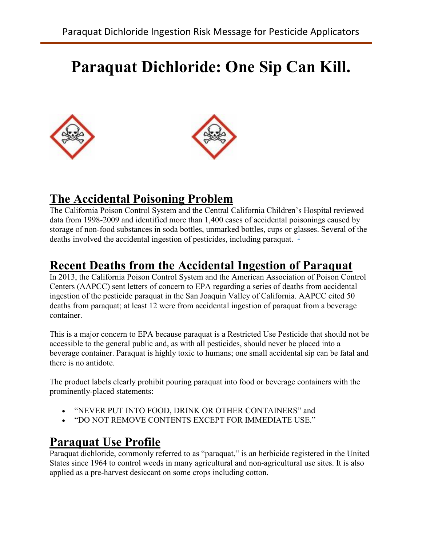# **Paraquat Dichloride: One Sip Can Kill.**





# **The Accidental Poisoning Problem**

The California Poison Control System and the Central California Children's Hospital reviewed data from 1998-2009 and identified more than 1,400 cases of accidental poisonings caused by storage of non-food substances in soda bottles, unmarked bottles, cups or glasses. Several of the deaths involved the accidental ingestion of pesticides, including paraquat.  $\frac{1}{2}$  $\frac{1}{2}$  $\frac{1}{2}$ 

### **Recent Deaths from the Accidental Ingestion of Paraquat**

In 2013, the California Poison Control System and the American Association of Poison Control Centers (AAPCC) sent letters of concern to EPA regarding a series of deaths from accidental ingestion of the pesticide paraquat in the San Joaquin Valley of California. AAPCC cited 50 deaths from paraquat; at least 12 were from accidental ingestion of paraquat from a beverage container.

This is a major concern to EPA because paraquat is a Restricted Use Pesticide that should not be accessible to the general public and, as with all pesticides, should never be placed into a beverage container. Paraquat is highly toxic to humans; one small accidental sip can be fatal and there is no antidote.

The product labels clearly prohibit pouring paraquat into food or beverage containers with the prominently-placed statements:

- "NEVER PUT INTO FOOD, DRINK OR OTHER CONTAINERS" and
- "DO NOT REMOVE CONTENTS EXCEPT FOR IMMEDIATE USE."

### **Paraquat Use Profile**

Paraquat dichloride, commonly referred to as "paraquat," is an herbicide registered in the United States since 1964 to control weeds in many agricultural and non-agricultural use sites. It is also applied as a pre-harvest desiccant on some crops including cotton.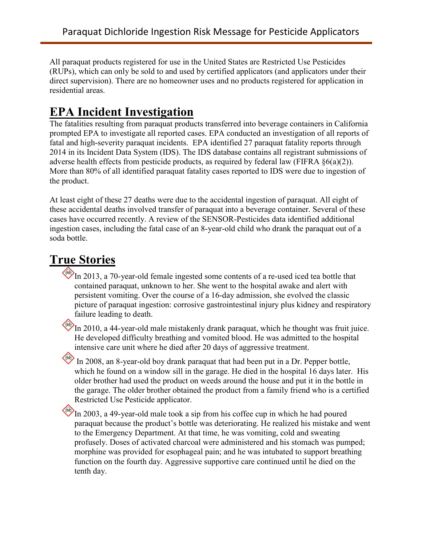All paraquat products registered for use in the United States are Restricted Use Pesticides (RUPs), which can only be sold to and used by certified applicators (and applicators under their direct supervision). There are no homeowner uses and no products registered for application in residential areas.

# **EPA Incident Investigation**

The fatalities resulting from paraquat products transferred into beverage containers in California prompted EPA to investigate all reported cases. EPA conducted an investigation of all reports of fatal and high-severity paraquat incidents. EPA identified 27 paraquat fatality reports through 2014 in its Incident Data System (IDS). The IDS database contains all registrant submissions of adverse health effects from pesticide products, as required by federal law (FIFRA §6(a)(2)). More than 80% of all identified paraquat fatality cases reported to IDS were due to ingestion of the product.

At least eight of these 27 deaths were due to the accidental ingestion of paraquat. All eight of these accidental deaths involved transfer of paraquat into a beverage container. Several of these cases have occurred recently. A review of the SENSOR-Pesticides data identified additional ingestion cases, including the fatal case of an 8-year-old child who drank the paraquat out of a soda bottle.

# **True Stories**

In 2013, a 70-year-old female ingested some contents of a re-used iced tea bottle that contained paraquat, unknown to her. She went to the hospital awake and alert with persistent vomiting. Over the course of a 16-day admission, she evolved the classic picture of paraquat ingestion: corrosive gastrointestinal injury plus kidney and respiratory failure leading to death.

In 2010, a 44-year-old male mistakenly drank paraquat, which he thought was fruit juice. He developed difficulty breathing and vomited blood. He was admitted to the hospital intensive care unit where he died after 20 days of aggressive treatment.

In 2008, an 8-year-old boy drank paraquat that had been put in a Dr. Pepper bottle, which he found on a window sill in the garage. He died in the hospital 16 days later. His older brother had used the product on weeds around the house and put it in the bottle in the garage. The older brother obtained the product from a family friend who is a certified Restricted Use Pesticide applicator.

In 2003, a 49-year-old male took a sip from his coffee cup in which he had poured paraquat because the product's bottle was deteriorating. He realized his mistake and went to the Emergency Department. At that time, he was vomiting, cold and sweating profusely. Doses of activated charcoal were administered and his stomach was pumped; morphine was provided for esophageal pain; and he was intubated to support breathing function on the fourth day. Aggressive supportive care continued until he died on the tenth day.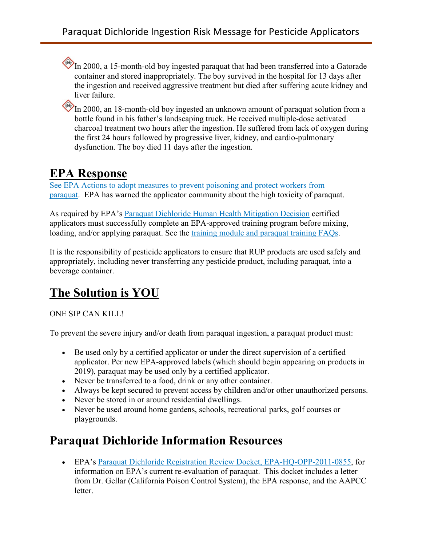In 2000, a 15-month-old boy ingested paraquat that had been transferred into a Gatorade container and stored inappropriately. The boy survived in the hospital for 13 days after the ingestion and received aggressive treatment but died after suffering acute kidney and liver failure.

In 2000, an 18-month-old boy ingested an unknown amount of paraquat solution from a bottle found in his father's landscaping truck. He received multiple-dose activated charcoal treatment two hours after the ingestion. He suffered from lack of oxygen during the first 24 hours followed by progressive liver, kidney, and cardio-pulmonary dysfunction. The boy died 11 days after the ingestion.

# **EPA Response**

[See EPA Actions to adopt measures to prevent poisoning and protect workers from](https://www.epa.gov/ingredients-used-pesticide-products/paraquat-dichloride#action)  [paraquat.](https://www.epa.gov/ingredients-used-pesticide-products/paraquat-dichloride#action) EPA has warned the applicator community about the high toxicity of paraquat.

As required by EPA's [Paraquat Dichloride Human Health Mitigation Decision](https://www.regulations.gov/document?D=EPA-HQ-OPP-2011-0855-0115) certified applicators must successfully complete an EPA-approved training program before mixing, loading, and/or applying paraquat. See the [training module and paraquat training FAQs.](https://www.epa.gov/pesticide-worker-safety/paraquat-dichloride-training-certified-applicators.)

It is the responsibility of pesticide applicators to ensure that RUP products are used safely and appropriately, including never transferring any pesticide product, including paraquat, into a beverage container.

# **The Solution is YOU**

#### ONE SIP CAN KILL!

To prevent the severe injury and/or death from paraquat ingestion, a paraquat product must:

- Be used only by a certified applicator or under the direct supervision of a certified applicator. Per new EPA-approved labels (which should begin appearing on products in 2019), paraquat may be used only by a certified applicator.
- Never be transferred to a food, drink or any other container.
- Always be kept secured to prevent access by children and/or other unauthorized persons.
- Never be stored in or around residential dwellings.
- Never be used around home gardens, schools, recreational parks, golf courses or playgrounds.

### **Paraquat Dichloride Information Resources**

• EPA's [Paraquat Dichloride Registration Review Docket, EPA-HQ-OPP-2011-0855,](https://www.regulations.gov/#!docketDetail;D=EPA-HQ-OPP-2011-0855) for information on EPA's current re-evaluation of paraquat. This docket includes a letter from Dr. Gellar (California Poison Control System), the EPA response, and the AAPCC letter.